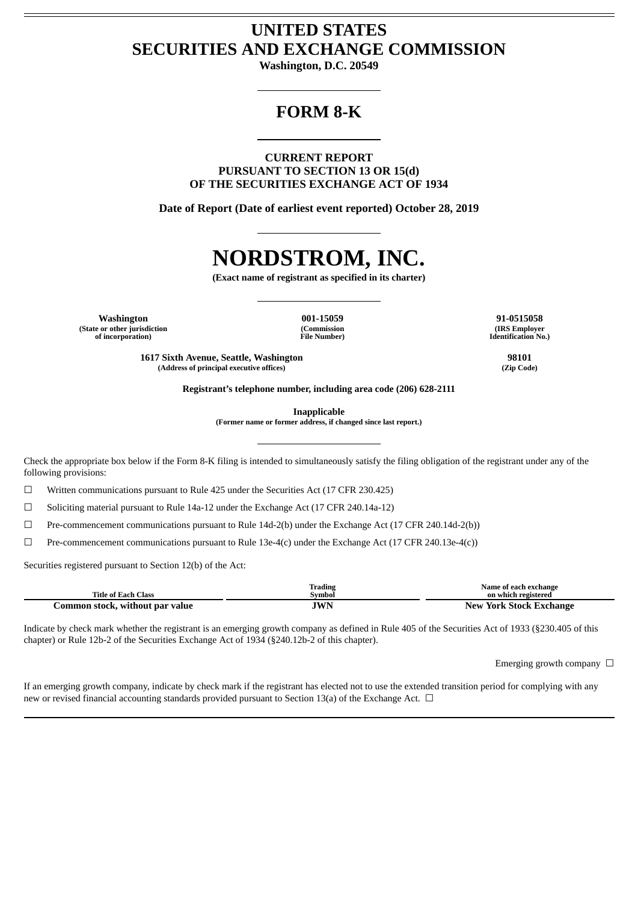## **UNITED STATES SECURITIES AND EXCHANGE COMMISSION**

**Washington, D.C. 20549**

## **FORM 8-K**

**CURRENT REPORT PURSUANT TO SECTION 13 OR 15(d) OF THE SECURITIES EXCHANGE ACT OF 1934**

**Date of Report (Date of earliest event reported) October 28, 2019**

# **NORDSTROM, INC.**

**(Exact name of registrant as specified in its charter)**

**Washington 001-15059 91-0515058 (State or other jurisdiction of incorporation)**

**(Commission File Number)**

**(IRS Employer Identification No.)**

**1617 Sixth Avenue, Seattle, Washington 98101**  $(A$ ddress of principal executive offices)

**Registrant's telephone number, including area code (206) 628-2111**

**Inapplicable**

**(Former name or former address, if changed since last report.)**

Check the appropriate box below if the Form 8-K filing is intended to simultaneously satisfy the filing obligation of the registrant under any of the following provisions:

 $\Box$  Written communications pursuant to Rule 425 under the Securities Act (17 CFR 230.425)

 $\Box$  Soliciting material pursuant to Rule 14a-12 under the Exchange Act (17 CFR 240.14a-12)

☐ Pre-commencement communications pursuant to Rule 14d-2(b) under the Exchange Act (17 CFR 240.14d-2(b))

☐ Pre-commencement communications pursuant to Rule 13e-4(c) under the Exchange Act (17 CFR 240.13e-4(c))

Securities registered pursuant to Section 12(b) of the Act:

|                                    | Trading | Name of each exchange   |
|------------------------------------|---------|-------------------------|
| Title of Each Class                | Symbol  | on which registered     |
| Lommon stock.<br>without par value | JWN     | New York Stock Exchange |

Indicate by check mark whether the registrant is an emerging growth company as defined in Rule 405 of the Securities Act of 1933 (§230.405 of this chapter) or Rule 12b-2 of the Securities Exchange Act of 1934 (§240.12b-2 of this chapter).

Emerging growth company  $\Box$ 

If an emerging growth company, indicate by check mark if the registrant has elected not to use the extended transition period for complying with any new or revised financial accounting standards provided pursuant to Section 13(a) of the Exchange Act.  $\Box$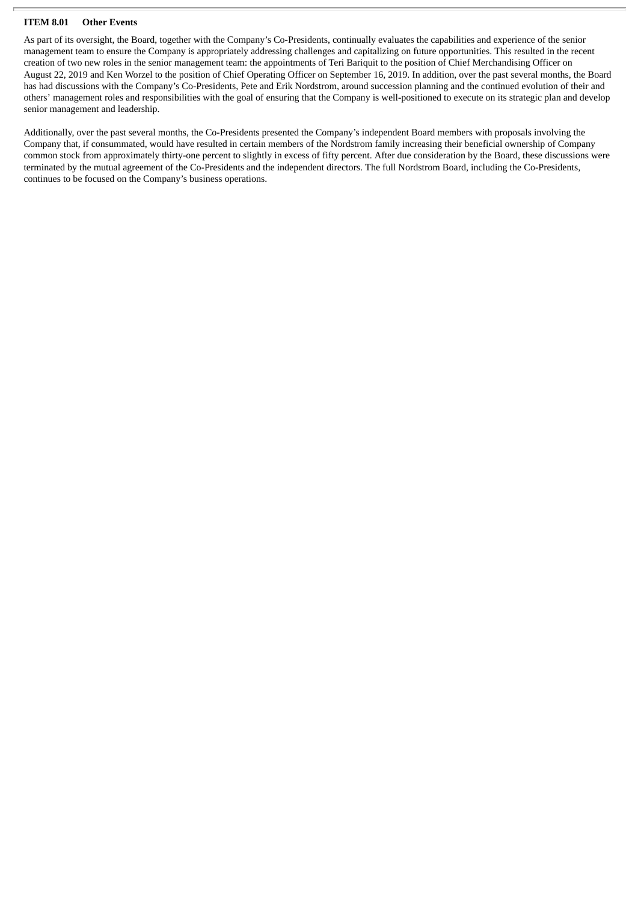#### **ITEM 8.01 Other Events**

As part of its oversight, the Board, together with the Company's Co-Presidents, continually evaluates the capabilities and experience of the senior management team to ensure the Company is appropriately addressing challenges and capitalizing on future opportunities. This resulted in the recent creation of two new roles in the senior management team: the appointments of Teri Bariquit to the position of Chief Merchandising Officer on August 22, 2019 and Ken Worzel to the position of Chief Operating Officer on September 16, 2019. In addition, over the past several months, the Board has had discussions with the Company's Co-Presidents, Pete and Erik Nordstrom, around succession planning and the continued evolution of their and others' management roles and responsibilities with the goal of ensuring that the Company is well-positioned to execute on its strategic plan and develop senior management and leadership.

Additionally, over the past several months, the Co-Presidents presented the Company's independent Board members with proposals involving the Company that, if consummated, would have resulted in certain members of the Nordstrom family increasing their beneficial ownership of Company common stock from approximately thirty-one percent to slightly in excess of fifty percent. After due consideration by the Board, these discussions were terminated by the mutual agreement of the Co-Presidents and the independent directors. The full Nordstrom Board, including the Co-Presidents, continues to be focused on the Company's business operations.